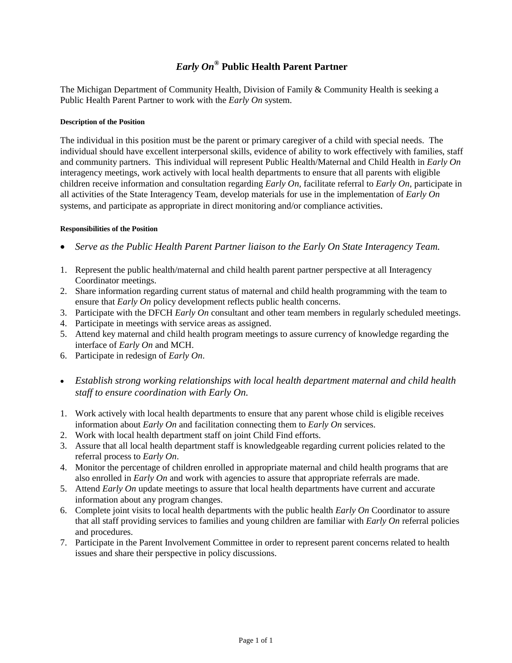# *Early On®* **Public Health Parent Partner**

The Michigan Department of Community Health, Division of Family & Community Health is seeking a Public Health Parent Partner to work with the *Early On* system.

# **Description of the Position**

The individual in this position must be the parent or primary caregiver of a child with special needs. The individual should have excellent interpersonal skills, evidence of ability to work effectively with families, staff and community partners. This individual will represent Public Health/Maternal and Child Health in *Early On* interagency meetings, work actively with local health departments to ensure that all parents with eligible children receive information and consultation regarding *Early On*, facilitate referral to *Early On*, participate in all activities of the State Interagency Team, develop materials for use in the implementation of *Early On* systems, and participate as appropriate in direct monitoring and/or compliance activities.

## **Responsibilities of the Position**

- *Serve as the Public Health Parent Partner liaison to the Early On State Interagency Team.*
- 1. Represent the public health/maternal and child health parent partner perspective at all Interagency Coordinator meetings.
- 2. Share information regarding current status of maternal and child health programming with the team to ensure that *Early On* policy development reflects public health concerns.
- 3. Participate with the DFCH *Early On* consultant and other team members in regularly scheduled meetings.
- 4. Participate in meetings with service areas as assigned.
- 5. Attend key maternal and child health program meetings to assure currency of knowledge regarding the interface of *Early On* and MCH.
- 6. Participate in redesign of *Early On*.
- *Establish strong working relationships with local health department maternal and child health staff to ensure coordination with Early On.*
- 1. Work actively with local health departments to ensure that any parent whose child is eligible receives information about *Early On* and facilitation connecting them to *Early On* services.
- 2. Work with local health department staff on joint Child Find efforts.
- 3. Assure that all local health department staff is knowledgeable regarding current policies related to the referral process to *Early On*.
- 4. Monitor the percentage of children enrolled in appropriate maternal and child health programs that are also enrolled in *Early On* and work with agencies to assure that appropriate referrals are made.
- 5. Attend *Early On* update meetings to assure that local health departments have current and accurate information about any program changes.
- 6. Complete joint visits to local health departments with the public health *Early On* Coordinator to assure that all staff providing services to families and young children are familiar with *Early On* referral policies and procedures.
- 7. Participate in the Parent Involvement Committee in order to represent parent concerns related to health issues and share their perspective in policy discussions.